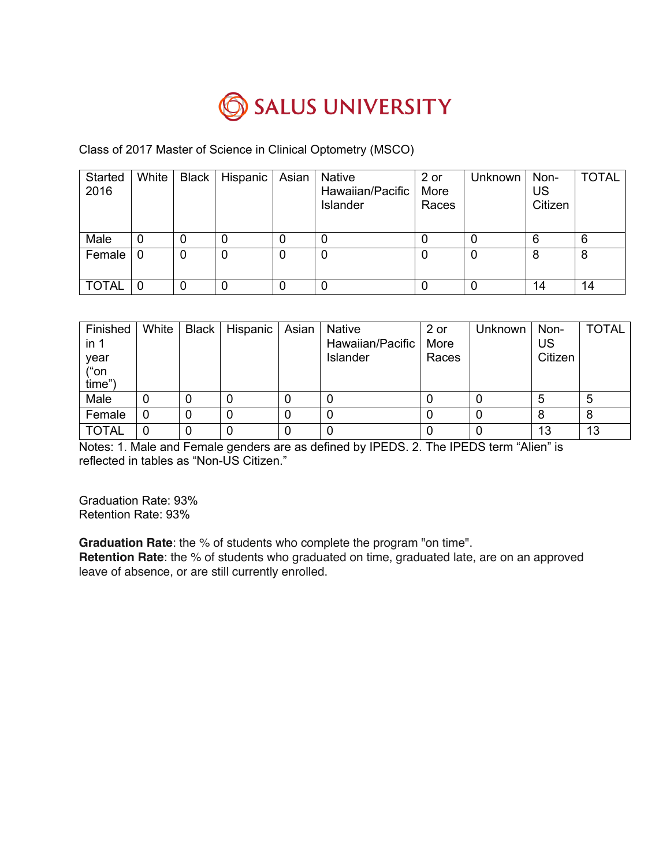

# Class of 2017 Master of Science in Clinical Optometry (MSCO)

| Started<br>2016 | White | <b>Black</b> | Hispanic |   | Asian Native<br>Hawaiian/Pacific<br>Islander | 2 or<br>More<br>Races | Unknown | Non-<br>US<br>Citizen | <b>TOTAL</b> |
|-----------------|-------|--------------|----------|---|----------------------------------------------|-----------------------|---------|-----------------------|--------------|
| Male            | 0     | 0            |          |   |                                              |                       |         | 6                     | 6            |
| Female          | 0     | 0            | 0        | 0 | 0                                            | 0                     |         | 8                     | 8            |
| <b>TOTAL</b>    | 0     | 0            |          |   | 0                                            |                       |         | 14                    | 14           |

| Finished<br>in <sub>1</sub><br>year<br>("on<br>time") | White | Black   Hispanic   Asian | <b>Native</b><br>Hawaiian/Pacific<br>Islander | 2 or<br>More<br>Races | Unknown | Non-<br>US<br>Citizen | <b>TOTAL</b> |
|-------------------------------------------------------|-------|--------------------------|-----------------------------------------------|-----------------------|---------|-----------------------|--------------|
| Male                                                  | 0     |                          |                                               |                       |         | 5                     | 5            |
| Female                                                | 0     |                          |                                               |                       |         | 8                     | 8            |
| <b>TOTAL</b>                                          | 0     |                          |                                               |                       |         | 13                    | 13           |

Notes: 1. Male and Female genders are as defined by IPEDS. 2. The IPEDS term "Alien" is reflected in tables as "Non-US Citizen."

Graduation Rate: 93% Retention Rate: 93%

**Graduation Rate**: the % of students who complete the program "on time".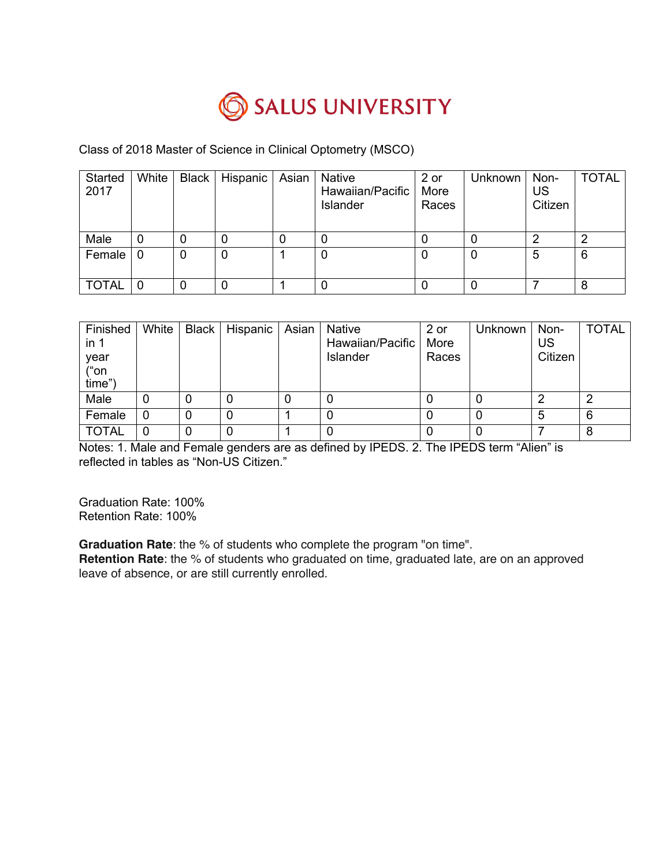

# Class of 2018 Master of Science in Clinical Optometry (MSCO)

| Started<br>2017 | White | <b>Black</b> | <b>Hispanic</b> | Asian | Native<br>Hawaiian/Pacific<br>Islander | 2 or<br>More<br>Races | Unknown | Non-<br>US<br>Citizen | <b>TOTAL</b> |
|-----------------|-------|--------------|-----------------|-------|----------------------------------------|-----------------------|---------|-----------------------|--------------|
| Male            | 0     | 0            |                 |       |                                        |                       |         | າ                     |              |
| Female          | 0     | 0            | 0               |       |                                        | O                     | 0       | 5                     | 6            |
| <b>TOTAL</b>    | 0     | 0            |                 |       |                                        |                       |         |                       | 8            |

| Finished<br>in <sub>1</sub><br>year<br>("on<br>time") | White | Black   Hispanic | Asian | Native<br>Hawaiian/Pacific<br>Islander | 2 or<br>More<br>Races | Unknown ' | Non-<br><b>US</b><br>Citizen | <b>TOTAL</b> |
|-------------------------------------------------------|-------|------------------|-------|----------------------------------------|-----------------------|-----------|------------------------------|--------------|
| Male                                                  | 0     | 0                |       |                                        |                       | 0         | ◠                            |              |
| Female                                                | 0     |                  |       |                                        |                       |           | 5                            | 6            |
| <b>TOTAL</b>                                          | 0     | 0                |       |                                        |                       |           |                              | 8            |

Notes: 1. Male and Female genders are as defined by IPEDS. 2. The IPEDS term "Alien" is reflected in tables as "Non-US Citizen."

Graduation Rate: 100% Retention Rate: 100%

**Graduation Rate**: the % of students who complete the program "on time".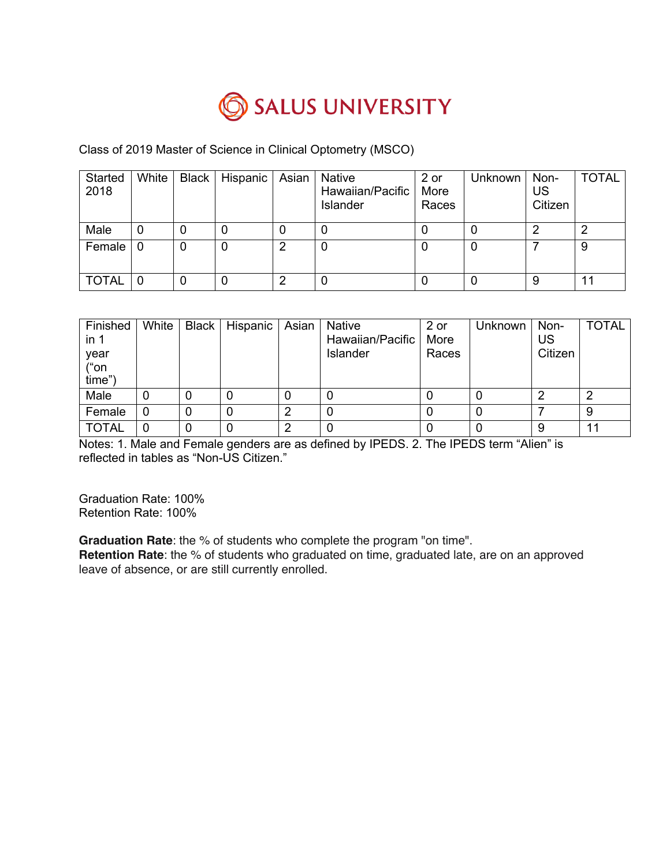

# Class of 2019 Master of Science in Clinical Optometry (MSCO)

| Started<br>2018 | White | <b>Black</b> | Hispanic | Asian | <b>Native</b><br>Hawaiian/Pacific<br>Islander | 2 or<br>More<br>Races | Unknown | Non-<br>US<br>Citizen | <b>TOTAL</b> |
|-----------------|-------|--------------|----------|-------|-----------------------------------------------|-----------------------|---------|-----------------------|--------------|
| Male            | 0     | 0            |          |       |                                               |                       |         | ⌒                     | ◠            |
| Female          | 0     | 0            | 0        |       | O                                             | U                     | 0       |                       | 9            |
| <b>TOTAL</b>    | 0     | 0            |          |       |                                               |                       |         | 9                     | 11           |

| Finished<br>in 1<br>year<br>("on<br>time") | White | Black   Hispanic | Asian | Native<br>Hawaiian/Pacific<br>Islander | 2 or<br>More<br>Races | Unknown | Non-<br>US<br>Citizen | <b>TOTAL</b> |
|--------------------------------------------|-------|------------------|-------|----------------------------------------|-----------------------|---------|-----------------------|--------------|
| Male                                       | 0     |                  |       |                                        |                       |         | ◠                     | ◠            |
| Female                                     | 0     |                  | っ     |                                        |                       |         |                       | 9            |
| <b>TOTAL</b>                               | 0     |                  | າ     |                                        |                       | 0       | 9                     | 11           |

Notes: 1. Male and Female genders are as defined by IPEDS. 2. The IPEDS term "Alien" is reflected in tables as "Non-US Citizen."

Graduation Rate: 100% Retention Rate: 100%

**Graduation Rate**: the % of students who complete the program "on time".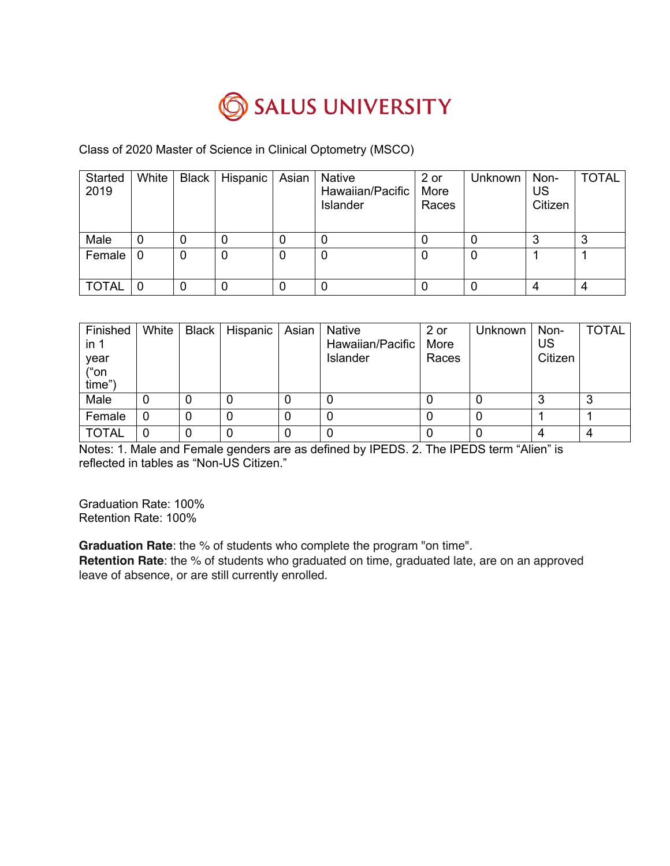

### Class of 2020 Master of Science in Clinical Optometry (MSCO)

| Started<br>2019 | White          | <b>Black</b> | Hispanic | Asian | <b>Native</b><br>Hawaiian/Pacific<br>Islander | 2 or<br>More<br>Races | <b>Unknown</b> | Non-<br>US<br>Citizen | <b>TOTAL</b> |
|-----------------|----------------|--------------|----------|-------|-----------------------------------------------|-----------------------|----------------|-----------------------|--------------|
| Male            | 0              | 0            |          |       | O                                             |                       |                | 3                     |              |
| Female          | - 0            | 0            |          | 0     | 0                                             | 0                     | 0              |                       |              |
| <b>TOTAL</b>    | $\overline{0}$ | 0            |          |       | 0                                             |                       |                | 4                     |              |

| Finished<br>in <sub>1</sub><br>year<br>("on<br>time") | White | Black   Hispanic   Asian   Native | Hawaiian/Pacific<br>Islander | 2 or<br>More<br>Races | <b>Unknown</b> | Non-<br>US<br>Citizen | <b>TOTAL</b> |
|-------------------------------------------------------|-------|-----------------------------------|------------------------------|-----------------------|----------------|-----------------------|--------------|
| Male                                                  | O     |                                   |                              |                       |                |                       |              |
| Female                                                | 0     | 0                                 |                              |                       |                |                       |              |
| <b>TOTAL</b>                                          | 0     |                                   |                              |                       |                |                       |              |

Notes: 1. Male and Female genders are as defined by IPEDS. 2. The IPEDS term "Alien" is reflected in tables as "Non-US Citizen."

Graduation Rate: 100% Retention Rate: 100%

**Graduation Rate**: the % of students who complete the program "on time".